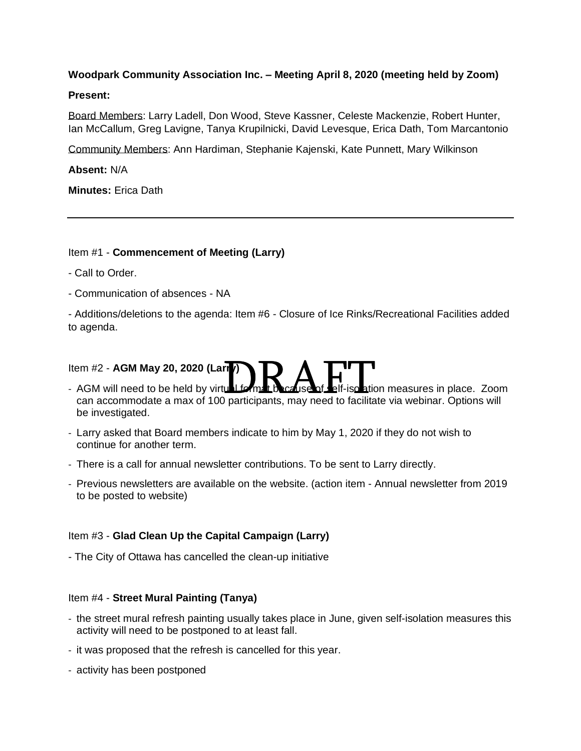# **Woodpark Community Association Inc. – Meeting April 8, 2020 (meeting held by Zoom)**

### **Present:**

Board Members: Larry Ladell, Don Wood, Steve Kassner, Celeste Mackenzie, Robert Hunter, Ian McCallum, Greg Lavigne, Tanya Krupilnicki, David Levesque, Erica Dath, Tom Marcantonio

Community Members: Ann Hardiman, Stephanie Kajenski, Kate Punnett, Mary Wilkinson

## **Absent:** N/A

**Minutes:** Erica Dath

### Item #1 - **Commencement of Meeting (Larry)**

- Call to Order.
- Communication of absences NA

- Additions/deletions to the agenda: Item #6 - Closure of Ice Rinks/Recreational Facilities added to agenda.

# Item #2 - **AGM May 20, 2020 (Larry)**

- em #2 AGM May 20, 2020 (Larry)<br>AGM will need to be held by virtual forms to cause of Lelf-iso ation measures in place. Zoor<br>can accommodate a max of 100 participants, may need to facilitate via webinar. Options will - AGM will need to be held by virtual format because of self-isolation measures in place. Zoom be investigated.
- Larry asked that Board members indicate to him by May 1, 2020 if they do not wish to continue for another term.
- There is a call for annual newsletter contributions. To be sent to Larry directly.
- Previous newsletters are available on the website. (action item Annual newsletter from 2019 to be posted to website)

### Item #3 - **Glad Clean Up the Capital Campaign (Larry)**

- The City of Ottawa has cancelled the clean-up initiative

### Item #4 - **Street Mural Painting (Tanya)**

- the street mural refresh painting usually takes place in June, given self-isolation measures this activity will need to be postponed to at least fall.
- it was proposed that the refresh is cancelled for this year.
- activity has been postponed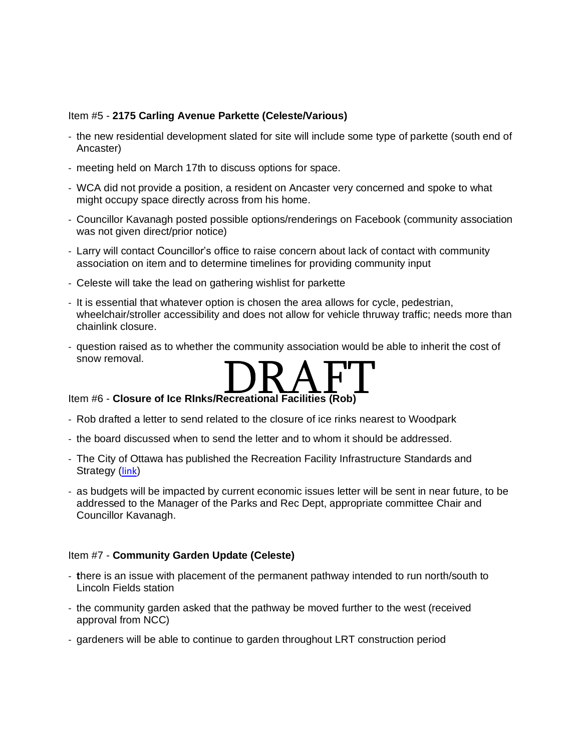### Item #5 - **2175 Carling Avenue Parkette (Celeste/Various)**

- the new residential development slated for site will include some type of parkette (south end of Ancaster)
- meeting held on March 17th to discuss options for space.
- WCA did not provide a position, a resident on Ancaster very concerned and spoke to what might occupy space directly across from his home.
- Councillor Kavanagh posted possible options/renderings on Facebook (community association was not given direct/prior notice)
- Larry will contact Councillor's office to raise concern about lack of contact with community association on item and to determine timelines for providing community input
- Celeste will take the lead on gathering wishlist for parkette
- It is essential that whatever option is chosen the area allows for cycle, pedestrian, wheelchair/stroller accessibility and does not allow for vehicle thruway traffic; needs more than chainlink closure.
- question raised as to whether the community association would be able to inherit the cost of snow removal.



- Rob drafted a letter to send related to the closure of ice rinks nearest to Woodpark
- the board discussed when to send the letter and to whom it should be addressed.
- The City of Ottawa has published the Recreation Facility Infrastructure Standards and Strategy ([link](https://engage.ottawa.ca/recreation-facility-infrastructure-standards))
- as budgets will be impacted by current economic issues letter will be sent in near future, to be addressed to the Manager of the Parks and Rec Dept, appropriate committee Chair and Councillor Kavanagh.

### Item #7 - **Community Garden Update (Celeste)**

- **t**here is an issue with placement of the permanent pathway intended to run north/south to Lincoln Fields station
- the community garden asked that the pathway be moved further to the west (received approval from NCC)
- gardeners will be able to continue to garden throughout LRT construction period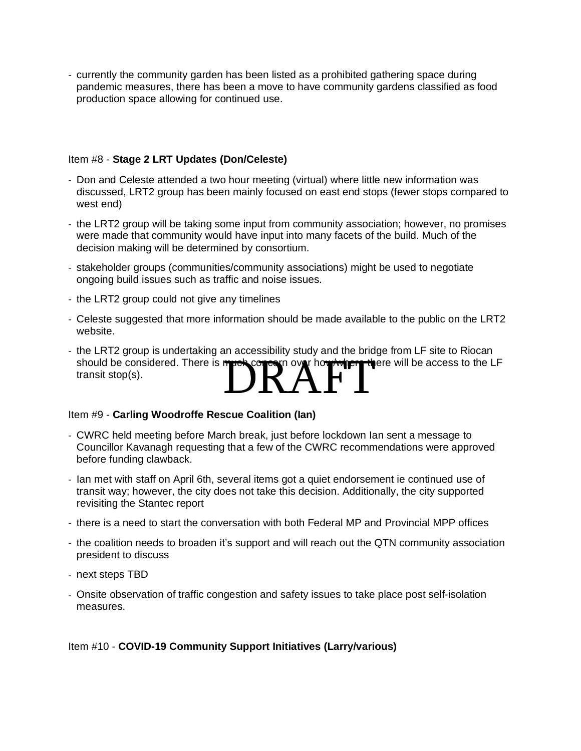- currently the community garden has been listed as a prohibited gathering space during pandemic measures, there has been a move to have community gardens classified as food production space allowing for continued use.

## Item #8 - **Stage 2 LRT Updates (Don/Celeste)**

- Don and Celeste attended a two hour meeting (virtual) where little new information was discussed, LRT2 group has been mainly focused on east end stops (fewer stops compared to west end)
- the LRT2 group will be taking some input from community association; however, no promises were made that community would have input into many facets of the build. Much of the decision making will be determined by consortium.
- stakeholder groups (communities/community associations) might be used to negotiate ongoing build issues such as traffic and noise issues.
- the LRT2 group could not give any timelines
- Celeste suggested that more information should be made available to the public on the LRT2 website.
- should be considered. There is much concern over how/where there will be access to the LF transit stop(s). - the LRT2 group is undertaking an accessibility study and the bridge from LF site to Riocan should be considered. There is much concern over hour where there will be access to the L transit stop(s).

### Item #9 - **Carling Woodroffe Rescue Coalition (Ian)**

- CWRC held meeting before March break, just before lockdown Ian sent a message to Councillor Kavanagh requesting that a few of the CWRC recommendations were approved before funding clawback.
- Ian met with staff on April 6th, several items got a quiet endorsement ie continued use of transit way; however, the city does not take this decision. Additionally, the city supported revisiting the Stantec report
- there is a need to start the conversation with both Federal MP and Provincial MPP offices
- the coalition needs to broaden it's support and will reach out the QTN community association president to discuss
- next steps TBD
- Onsite observation of traffic congestion and safety issues to take place post self-isolation measures.

### Item #10 - **COVID-19 Community Support Initiatives (Larry/various)**